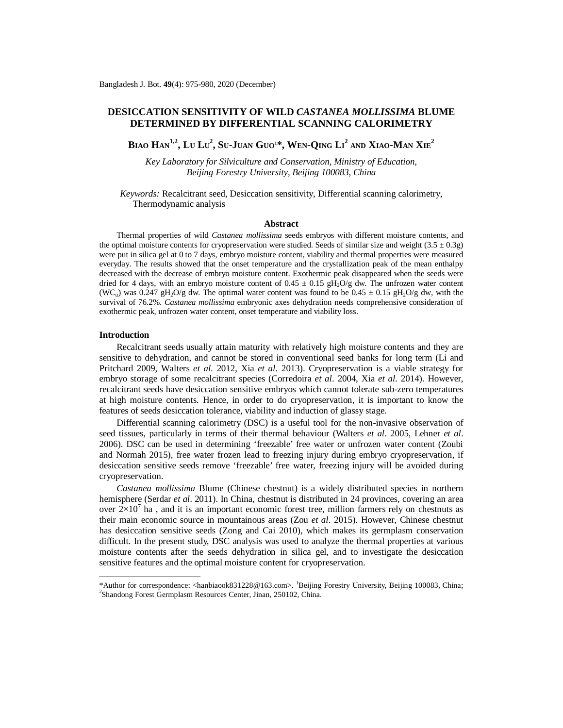# **DESICCATION SENSITIVITY OF WILD** *CASTANEA MOLLISSIMA* **BLUME DETERMINED BY DIFFERENTIAL SCANNING CALORIMETRY**

Biao Han<sup>1,2</sup>, Lu Lu<sup>2</sup>, Su-Juan Guo<sup>1\*</sup>, Wen-Qing Li<sup>2</sup> and Xiao-Man Xie<sup>2</sup>

*Key Laboratory for Silviculture and Conservation, Ministry of Education, Beijing Forestry University, Beijing 100083, China*

*Keywords:* Recalcitrant seed, Desiccation sensitivity, Differential scanning calorimetry, Thermodynamic analysis

# **Abstract**

Thermal properties of wild *Castanea mollissima* seeds embryos with different moisture contents, and the optimal moisture contents for cryopreservation were studied. Seeds of similar size and weight  $(3.5 \pm 0.3g)$ were put in silica gel at 0 to 7 days, embryo moisture content, viability and thermal properties were measured everyday. The results showed that the onset temperature and the crystallization peak of the mean enthalpy decreased with the decrease of embryo moisture content. Exothermic peak disappeared when the seeds were dried for 4 days, with an embryo moisture content of  $0.45 \pm 0.15$  gH<sub>2</sub>O/g dw. The unfrozen water content (WC<sub>u</sub>) was 0.247 gH<sub>2</sub>O/g dw. The optimal water content was found to be  $0.45 \pm 0.15$  gH<sub>2</sub>O/g dw, with the survival of 76.2%. *Castanea mollissima* embryonic axes dehydration needs comprehensive consideration of exothermic peak, unfrozen water content, onset temperature and viability loss.

# **Introduction**

Recalcitrant seeds usually attain maturity with relatively high moisture contents and they are sensitive to dehydration, and cannot be stored in conventional seed banks for long term (Li and Pritchard 2009, Walters *et al*. 2012, Xia *et al*. 2013). Cryopreservation is a viable strategy for embryo storage of some recalcitrant species (Corredoira *et al*. 2004, Xia *et al*. 2014). However, recalcitrant seeds have desiccation sensitive embryos which cannot tolerate sub-zero temperatures at high moisture contents. Hence, in order to do cryopreservation, it is important to know the features of seeds desiccation tolerance, viability and induction of glassy stage.

Differential scanning calorimetry (DSC) is a useful tool for the non-invasive observation of seed tissues, particularly in terms of their thermal behaviour (Walters *et al*. 2005, Lehner *et al*. 2006). DSC can be used in determining 'freezable' free water or unfrozen water content (Zoubi and Normah 2015), free water frozen lead to freezing injury during embryo cryopreservation, if desiccation sensitive seeds remove 'freezable' free water, freezing injury will be avoided during cryopreservation.

*Castanea mollissima* Blume (Chinese chestnut) is a widely distributed species in northern hemisphere (Serdar *et al*. 2011). In China, chestnut is distributed in 24 provinces, covering an area over  $2\times10^{7}$  ha, and it is an important economic forest tree, million farmers rely on chestnuts as their main economic source in mountainous areas (Zou *et al*. 2015). However, Chinese chestnut has desiccation sensitive seeds (Zong and Cai 2010), which makes its germplasm conservation difficult. In the present study, DSC analysis was used to analyze the thermal properties at various moisture contents after the seeds dehydration in silica gel, and to investigate the desiccation sensitive features and the optimal moisture content for cryopreservation.

<sup>\*</sup>Author for correspondence: [<hanbiaook831228@163.com](mailto:hanbiaook831228@163.com)>. <sup>1</sup>Beijing Forestry University, Beijing 100083, China; 2 Shandong Forest Germplasm Resources Center, Jinan, 250102, China.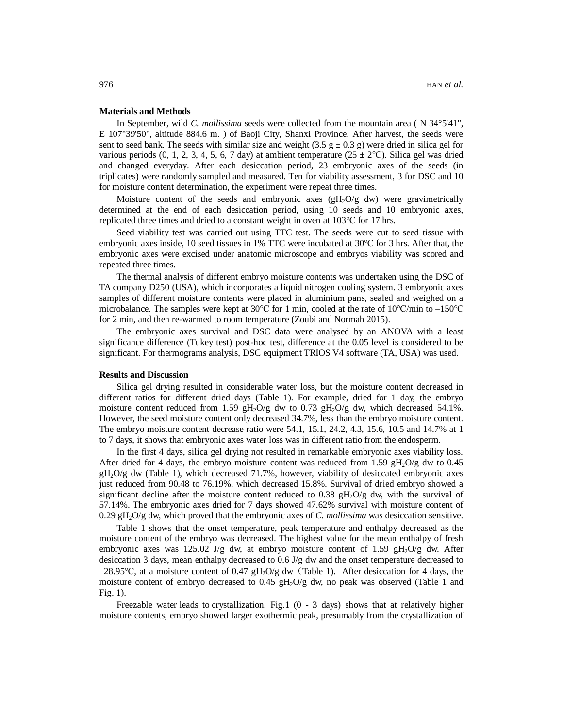## **Materials and Methods**

In September, wild *C. mollissima* seeds were collected from the mountain area ( N 34°5'41", E 107°39'50", altitude 884.6 m. ) of Baoji City, Shanxi Province. After harvest, the seeds were sent to seed bank. The seeds with similar size and weight  $(3.5 \text{ g} \pm 0.3 \text{ g})$  were dried in silica gel for various periods  $(0, 1, 2, 3, 4, 5, 6, 7$  day) at ambient temperature  $(25 \pm 2^{\circ}C)$ . Silica gel was dried and changed everyday. After each desiccation period, 23 embryonic axes of the seeds (in triplicates) were randomly sampled and measured. Ten for viability assessment, 3 for DSC and 10 for moisture content determination, the experiment were repeat three times.

Moisture content of the seeds and embryonic axes  $(gH<sub>2</sub>O/g dw)$  were gravimetrically determined at the end of each desiccation period, using 10 seeds and 10 embryonic axes, replicated three times and dried to a constant weight in oven at 103℃ for 17 hrs.

Seed viability test was carried out using TTC test. The seeds were cut to seed tissue with embryonic axes inside, 10 seed tissues in 1% TTC were incubated at 30℃ for 3 hrs. After that, the embryonic axes were excised under anatomic microscope and embryos viability was scored and repeated three times.

The thermal analysis of different embryo moisture contents was undertaken using the DSC of TA company D250 (USA), which incorporates a liquid nitrogen cooling system. 3 embryonic axes samples of different moisture contents were placed in aluminium pans, sealed and weighed on a microbalance. The samples were kept at  $30^{\circ}$ C for 1 min, cooled at the rate of  $10^{\circ}$ C/min to  $-150^{\circ}$ C for 2 min, and then re-warmed to room temperature (Zoubi and Normah 2015).

The embryonic axes survival and DSC data were analysed by an ANOVA with a least significance difference (Tukey test) post-hoc test, difference at the 0.05 level is considered to be significant. For thermograms analysis, DSC equipment TRIOS V4 software (TA, USA) was used.

### **Results and Discussion**

Silica gel drying resulted in considerable water loss, but the moisture content decreased in different ratios for different dried days (Table 1). For example, dried for 1 day, the embryo moisture content reduced from 1.59  $gH_2O/g$  dw to 0.73  $gH_2O/g$  dw, which decreased 54.1%. However, the seed moisture content only decreased 34.7%, less than the embryo moisture content. The embryo moisture content decrease ratio were 54.1, 15.1, 24.2, 4.3, 15.6, 10.5 and 14.7% at 1 to 7 days, it shows that embryonic axes water loss was in different ratio from the endosperm.

In the first 4 days, silica gel drying not resulted in remarkable embryonic axes viability loss. After dried for 4 days, the embryo moisture content was reduced from 1.59  $gH<sub>2</sub>O/g$  dw to 0.45  $gH<sub>2</sub>O/g$  dw (Table 1), which decreased 71.7%, however, viability of desiccated embryonic axes just reduced from 90.48 to 76.19%, which decreased 15.8%. Survival of dried embryo showed a significant decline after the moisture content reduced to 0.38  $gH<sub>2</sub>O/g$  dw, with the survival of 57.14%. The embryonic axes dried for 7 days showed 47.62% survival with moisture content of 0.29 gH2O/g dw, which proved that the embryonic axes of *C. mollissima* was desiccation sensitive.

Table 1 shows that the onset temperature, peak temperature and enthalpy decreased as the moisture content of the embryo was decreased. The highest value for the mean enthalpy of fresh embryonic axes was 125.02 J/g dw, at embryo moisture content of 1.59  $gH<sub>2</sub>O/g$  dw. After desiccation 3 days, mean enthalpy decreased to 0.6 J/g dw and the onset temperature decreased to  $-28.95$ °C, at a moisture content of 0.47 gH<sub>2</sub>O/g dw (Table 1). After desiccation for 4 days, the moisture content of embryo decreased to 0.45  $gH<sub>2</sub>O/g$  dw, no peak was observed (Table 1 and Fig. 1).

Freezable water leads to crystallization. Fig.1  $(0 - 3$  days) shows that at relatively higher moisture contents, embryo showed larger exothermic peak, presumably from the crystallization of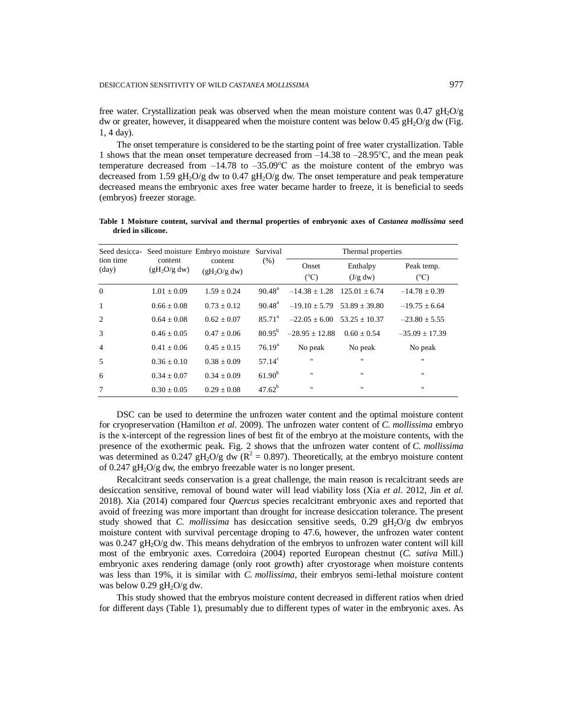free water. Crystallization peak was observed when the mean moisture content was  $0.47 \text{ gH}_2\text{O/g}$ dw or greater, however, it disappeared when the moisture content was below  $0.45 \text{ gH}_2\text{O/g}$  dw (Fig. 1, 4 day).

The onset temperature is considered to be the starting point of free water crystallization. Table 1 shows that the mean onset temperature decreased from  $-14.38$  to  $-28.95$ °C, and the mean peak temperature decreased from  $-14.78$  to  $-35.09$ °C as the moisture content of the embryo was decreased from 1.59  $gH_2O/g$  dw to 0.47  $gH_2O/g$  dw. The onset temperature and peak temperature decreased means the embryonic axes free water became harder to freeze, it is beneficial to seeds (embryos) freezer storage.

| Seed desicca-<br>tion time<br>$\text{(day)}$ | content<br>(gH <sub>2</sub> O/g dw) | Seed moisture Embryo moisture<br>content<br>(gH <sub>2</sub> O/g dw) | Survival<br>(% )   | Thermal properties     |                      |                             |
|----------------------------------------------|-------------------------------------|----------------------------------------------------------------------|--------------------|------------------------|----------------------|-----------------------------|
|                                              |                                     |                                                                      |                    | Onset<br>$(^{\circ}C)$ | Enthalpy<br>(J/g dw) | Peak temp.<br>$(^{\circ}C)$ |
| $\theta$                                     | $1.01 \pm 0.09$                     | $1.59 \pm 0.24$                                                      | $90.48^{\rm a}$    | $-14.38 \pm 1.28$      | $125.01 + 6.74$      | $-14.78 \pm 0.39$           |
| 1                                            | $0.66 + 0.08$                       | $0.73 + 0.12$                                                        | $90.48^{\rm a}$    | $-19.10 \pm 5.79$      | $53.89 + 39.80$      | $-19.75 + 6.64$             |
| $\overline{2}$                               | $0.64 + 0.08$                       | $0.62 + 0.07$                                                        | $85.71^{\circ}$    | $-22.05 + 6.00$        | $53.25 + 10.37$      | $-23.80 \pm 5.55$           |
| 3                                            | $0.46 + 0.05$                       | $0.47 + 0.06$                                                        | $80.95^{b}$        | $-28.95 + 12.88$       | $0.60 + 0.54$        | $-35.09 \pm 17.39$          |
| $\overline{4}$                               | $0.41 + 0.06$                       | $0.45 + 0.15$                                                        | 76.19 <sup>a</sup> | No peak                | No peak              | No peak                     |
| 5                                            | $0.36 + 0.10$                       | $0.38 + 0.09$                                                        | $57.14^{\circ}$    | $\blacksquare$         | $\mathbf{u}$         | $\mathbf{H}$                |
| 6                                            | $0.34 + 0.07$                       | $0.34 + 0.09$                                                        | $61.90^{b}$        | $\blacksquare$         | $\mathbf{H}$         | $\mathbf{H}$                |
|                                              | $0.30 \pm 0.05$                     | $0.29 + 0.08$                                                        | $47.62^{b}$        | $\blacksquare$         | $\mathbf{H}$         | $\mathbf{H}$                |

**Table 1 Moisture content, survival and thermal properties of embryonic axes of** *Castanea mollissima* **seed dried in silicone.**

DSC can be used to determine the unfrozen water content and the optimal moisture content for cryopreservation (Hamilton *et al*. 2009). The unfrozen water content of *C. mollissima* embryo is the x-intercept of the regression lines of best fit of the embryo at the moisture contents, with the presence of the exothermic peak. Fig. 2 shows that the unfrozen water content of *C. mollissima* was determined as 0.247 gH<sub>2</sub>O/g dw ( $R^2 = 0.897$ ). Theoretically, at the embryo moisture content of 0.247  $gH_2O/g$  dw, the embryo freezable water is no longer present.

Recalcitrant seeds conservation is a great challenge, the main reason is recalcitrant seeds are desiccation sensitive, removal of bound water will lead viability loss (Xia *et al*. 2012, Jin *et al.* 2018). Xia (2014) compared four *Quercus* species recalcitrant embryonic axes and reported that avoid of freezing was more important than drought for increase desiccation tolerance. The present study showed that *C. mollissima* has desiccation sensitive seeds,  $0.29 \text{ gH}_2\text{O/g}$  dw embryos moisture content with survival percentage droping to 47.6, however, the unfrozen water content was 0.247 gH<sub>2</sub>O/g dw. This means dehydration of the embryos to unfrozen water content will kill most of the embryonic axes. Corredoira (2004) reported European chestnut (*C. sativa* Mill.) embryonic axes rendering damage (only root growth) after cryostorage when moisture contents was less than 19%, it is similar with *C. mollissima*, their embryos semi-lethal moisture content was below  $0.29$  gH<sub>2</sub>O/g dw.

This study showed that the embryos moisture content decreased in different ratios when dried for different days (Table 1), presumably due to different types of water in the embryonic axes. As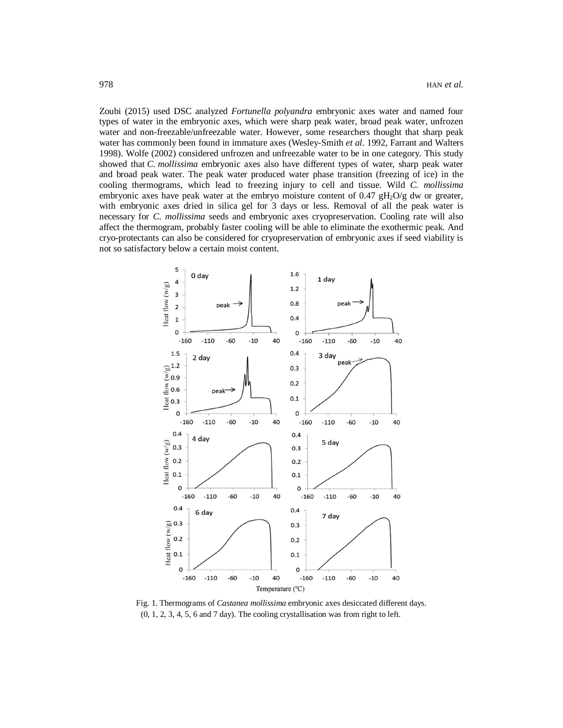Zoubi (2015) used DSC analyzed *Fortunella polyandra* embryonic axes water and named four types of water in the embryonic axes, which were sharp peak water, broad peak water, unfrozen water and non-freezable/unfreezable water. However, some researchers thought that sharp peak water has commonly been found in immature axes (Wesley-Smith *et al*. 1992, Farrant and Walters 1998). Wolfe (2002) considered unfrozen and unfreezable water to be in one category. This study showed that *C. mollissima* embryonic axes also have different types of water, sharp peak water and broad peak water. The peak water produced water phase transition (freezing of ice) in the cooling thermograms, which lead to freezing injury to cell and tissue. Wild *C. mollissima* embryonic axes have peak water at the embryo moisture content of  $0.47 \text{ gH}_2\text{O/g}$  dw or greater, with embryonic axes dried in silica gel for 3 days or less. Removal of all the peak water is necessary for *C. mollissima* seeds and embryonic axes cryopreservation. Cooling rate will also affect the thermogram, probably faster cooling will be able to eliminate the exothermic peak. And cryo-protectants can also be considered for cryopreservation of embryonic axes if seed viability is not so satisfactory below a certain moist content.



Fig. 1. Thermograms of *Castanea mollissima* embryonic axes desiccated different days. (0, 1, 2, 3, 4, 5, 6 and 7 day). The cooling crystallisation was from right to left.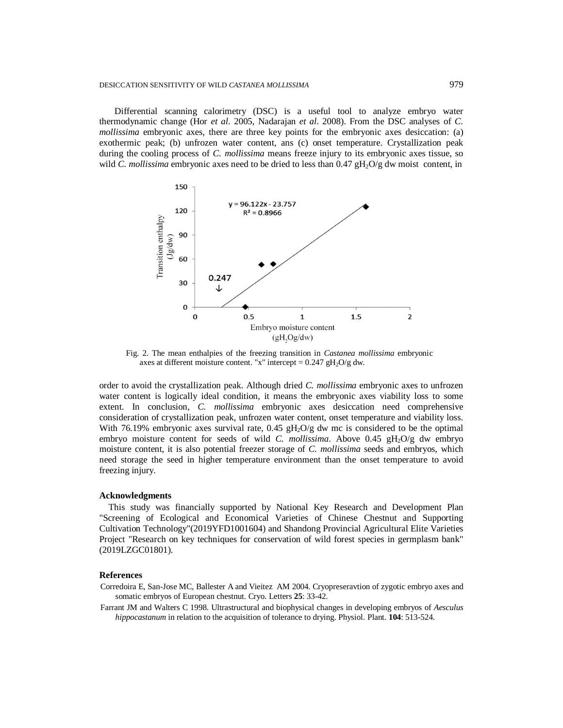Differential scanning calorimetry (DSC) is a useful tool to analyze embryo water thermodynamic change (Hor *et al*. 2005, Nadarajan *et al*. 2008). From the DSC analyses of *C. mollissima* embryonic axes, there are three key points for the embryonic axes desiccation: (a) exothermic peak; (b) unfrozen water content, ans (c) onset temperature. Crystallization peak during the cooling process of *C. mollissima* means freeze injury to its embryonic axes tissue, so wild *C. mollissima* embryonic axes need to be dried to less than  $0.47 \frac{\text{H}_2\text{O}}{\text{g}}$  dw moist content, in



Fig. 2. The mean enthalpies of the freezing transition in *Castanea mollissima* embryonic axes at different moisture content. "x" intercept =  $0.247 \text{ gH}_2\text{O/g}$  dw.

order to avoid the crystallization peak. Although dried *C. mollissima* embryonic axes to unfrozen water content is logically ideal condition, it means the embryonic axes viability loss to some extent. In conclusion, *C. mollissima* embryonic axes desiccation need comprehensive consideration of crystallization peak, unfrozen water content, onset temperature and viability loss. With 76.19% embryonic axes survival rate,  $0.45 \text{ gH}_2\text{O/g}$  dw mc is considered to be the optimal embryo moisture content for seeds of wild *C. mollissima*. Above  $0.45 \text{ gH}_2\text{O/g}$  dw embryo moisture content, it is also potential freezer storage of *C. mollissima* seeds and embryos, which need storage the seed in higher temperature environment than the onset temperature to avoid freezing injury.

#### **Acknowledgments**

This study was financially supported by National Key Research and Development Plan "Screening of Ecological and Economical Varieties of Chinese Chestnut and Supporting Cultivation Technology"(2019YFD1001604) and Shandong Provincial Agricultural Elite Varieties Project "Research on key techniques for conservation of wild forest species in germplasm bank" (2019LZGC01801).

# **References**

- Corredoira E, San-Jose MC, Ballester A and Vieitez AM 2004. Cryopreseravtion of zygotic embryo axes and somatic embryos of European chestnut. Cryo. Letters **25**: 33-42.
- Farrant JM and Walters C 1998. Ultrastructural and biophysical changes in developing embryos of *Aesculus hippocastanum* in relation to the acquisition of tolerance to drying. Physiol. Plant. **104**: 513-524.